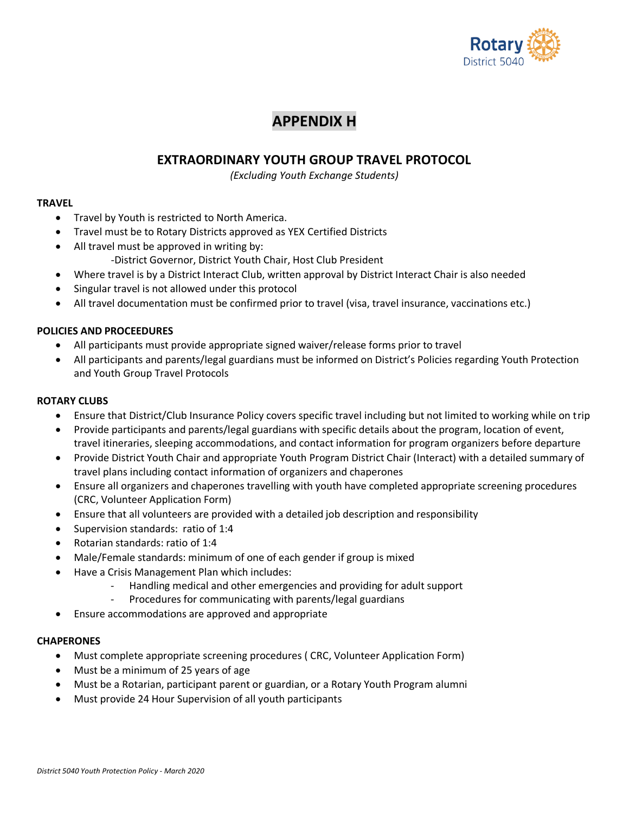

# **APPENDIX H**

# **EXTRAORDINARY YOUTH GROUP TRAVEL PROTOCOL**

*(Excluding Youth Exchange Students)*

## **TRAVEL**

- Travel by Youth is restricted to North America.
- Travel must be to Rotary Districts approved as YEX Certified Districts
- All travel must be approved in writing by: -District Governor, District Youth Chair, Host Club President
- Where travel is by a District Interact Club, written approval by District Interact Chair is also needed
- Singular travel is not allowed under this protocol
- All travel documentation must be confirmed prior to travel (visa, travel insurance, vaccinations etc.)

# **POLICIES AND PROCEEDURES**

- All participants must provide appropriate signed waiver/release forms prior to travel
- All participants and parents/legal guardians must be informed on District's Policies regarding Youth Protection and Youth Group Travel Protocols

# **ROTARY CLUBS**

- Ensure that District/Club Insurance Policy covers specific travel including but not limited to working while on trip
- Provide participants and parents/legal guardians with specific details about the program, location of event, travel itineraries, sleeping accommodations, and contact information for program organizers before departure
- Provide District Youth Chair and appropriate Youth Program District Chair (Interact) with a detailed summary of travel plans including contact information of organizers and chaperones
- Ensure all organizers and chaperones travelling with youth have completed appropriate screening procedures (CRC, Volunteer Application Form)
- Ensure that all volunteers are provided with a detailed job description and responsibility
- Supervision standards: ratio of 1:4
- Rotarian standards: ratio of 1:4
- Male/Female standards: minimum of one of each gender if group is mixed
	- Have a Crisis Management Plan which includes:
		- Handling medical and other emergencies and providing for adult support
		- Procedures for communicating with parents/legal guardians
- Ensure accommodations are approved and appropriate

## **CHAPERONES**

- Must complete appropriate screening procedures ( CRC, Volunteer Application Form)
- Must be a minimum of 25 years of age
- Must be a Rotarian, participant parent or guardian, or a Rotary Youth Program alumni
- Must provide 24 Hour Supervision of all youth participants